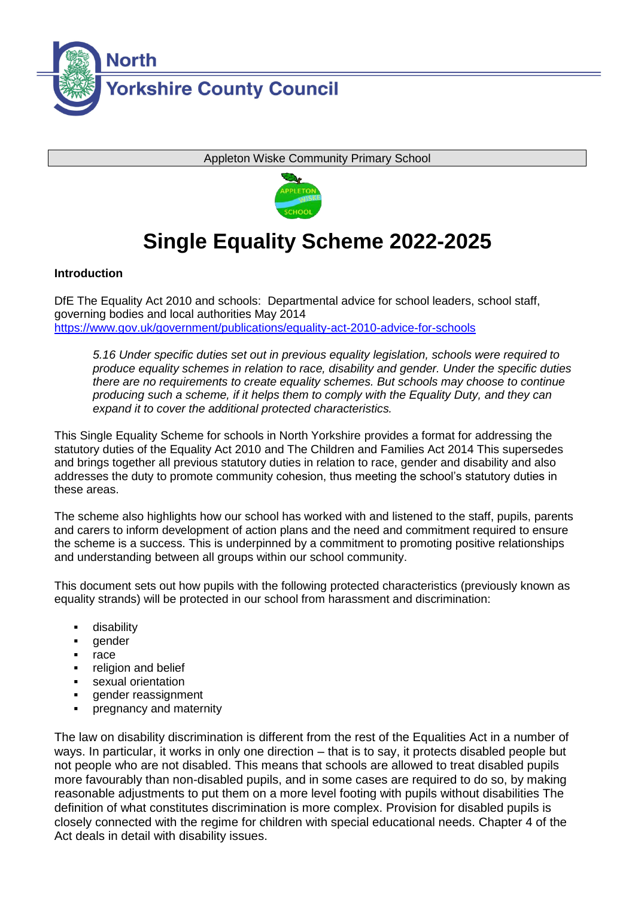

Appleton Wiske Community Primary School



# **Single Equality Scheme 2022-2025**

# **Introduction**

DfE The Equality Act 2010 and schools: Departmental advice for school leaders, school staff, governing bodies and local authorities May 2014 <https://www.gov.uk/government/publications/equality-act-2010-advice-for-schools>

*5.16 Under specific duties set out in previous equality legislation, schools were required to produce equality schemes in relation to race, disability and gender. Under the specific duties there are no requirements to create equality schemes. But schools may choose to continue producing such a scheme, if it helps them to comply with the Equality Duty, and they can expand it to cover the additional protected characteristics.*

This Single Equality Scheme for schools in North Yorkshire provides a format for addressing the statutory duties of the Equality Act 2010 and The Children and Families Act 2014 This supersedes and brings together all previous statutory duties in relation to race, gender and disability and also addresses the duty to promote community cohesion, thus meeting the school's statutory duties in these areas.

The scheme also highlights how our school has worked with and listened to the staff, pupils, parents and carers to inform development of action plans and the need and commitment required to ensure the scheme is a success. This is underpinned by a commitment to promoting positive relationships and understanding between all groups within our school community.

This document sets out how pupils with the following protected characteristics (previously known as equality strands) will be protected in our school from harassment and discrimination:

- disability
- gender
- race
- religion and belief
- sexual orientation
- gender reassignment
- pregnancy and maternity

The law on disability discrimination is different from the rest of the Equalities Act in a number of ways. In particular, it works in only one direction – that is to say, it protects disabled people but not people who are not disabled. This means that schools are allowed to treat disabled pupils more favourably than non-disabled pupils, and in some cases are required to do so, by making reasonable adjustments to put them on a more level footing with pupils without disabilities The definition of what constitutes discrimination is more complex. Provision for disabled pupils is closely connected with the regime for children with special educational needs. Chapter 4 of the Act deals in detail with disability issues.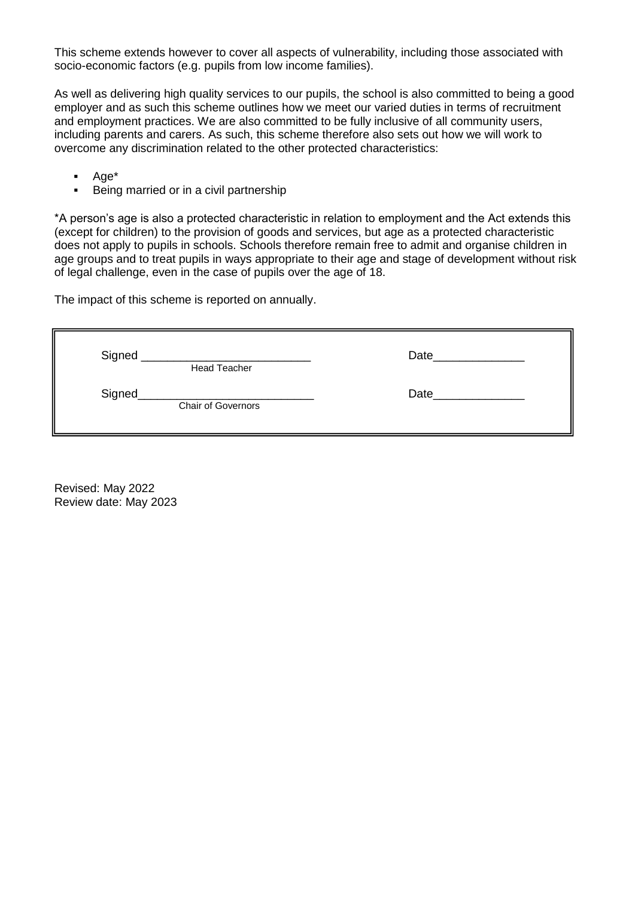This scheme extends however to cover all aspects of vulnerability, including those associated with socio-economic factors (e.g. pupils from low income families).

As well as delivering high quality services to our pupils, the school is also committed to being a good employer and as such this scheme outlines how we meet our varied duties in terms of recruitment and employment practices. We are also committed to be fully inclusive of all community users, including parents and carers. As such, this scheme therefore also sets out how we will work to overcome any discrimination related to the other protected characteristics:

- $Aq e^*$
- **Being married or in a civil partnership**

\*A person's age is also a protected characteristic in relation to employment and the Act extends this (except for children) to the provision of goods and services, but age as a protected characteristic does not apply to pupils in schools. Schools therefore remain free to admit and organise children in age groups and to treat pupils in ways appropriate to their age and stage of development without risk of legal challenge, even in the case of pupils over the age of 18.

The impact of this scheme is reported on annually.

| Signed<br><b>Head Teacher</b>       | Date |
|-------------------------------------|------|
| Signed<br><b>Chair of Governors</b> | Date |

Revised: May 2022 Review date: May 2023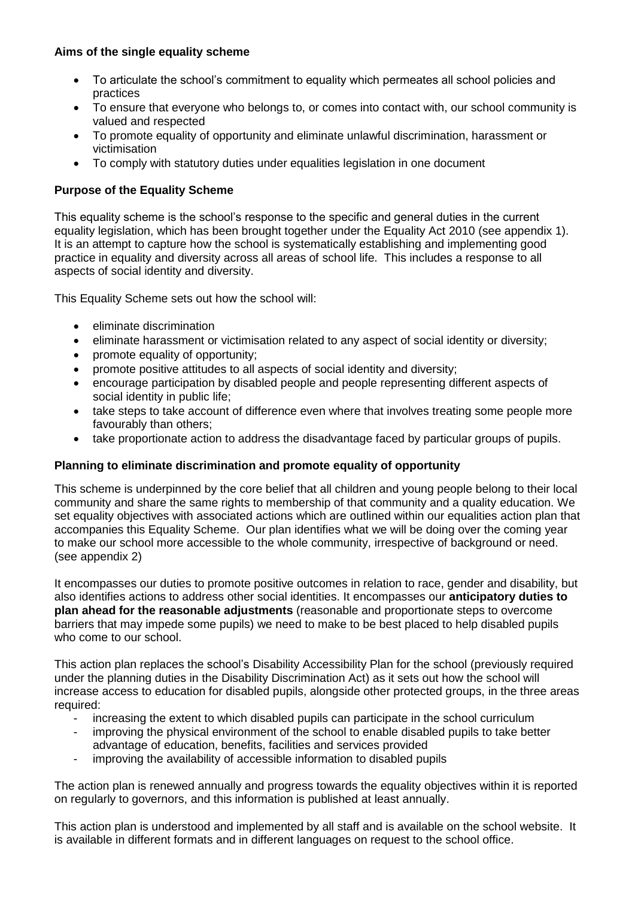# **Aims of the single equality scheme**

- To articulate the school's commitment to equality which permeates all school policies and practices
- To ensure that everyone who belongs to, or comes into contact with, our school community is valued and respected
- To promote equality of opportunity and eliminate unlawful discrimination, harassment or victimisation
- To comply with statutory duties under equalities legislation in one document

#### **Purpose of the Equality Scheme**

This equality scheme is the school's response to the specific and general duties in the current equality legislation, which has been brought together under the Equality Act 2010 (see appendix 1). It is an attempt to capture how the school is systematically establishing and implementing good practice in equality and diversity across all areas of school life. This includes a response to all aspects of social identity and diversity.

This Equality Scheme sets out how the school will:

- eliminate discrimination
- eliminate harassment or victimisation related to any aspect of social identity or diversity;
- promote equality of opportunity;
- promote positive attitudes to all aspects of social identity and diversity;
- encourage participation by disabled people and people representing different aspects of social identity in public life;
- take steps to take account of difference even where that involves treating some people more favourably than others;
- take proportionate action to address the disadvantage faced by particular groups of pupils.

#### **Planning to eliminate discrimination and promote equality of opportunity**

This scheme is underpinned by the core belief that all children and young people belong to their local community and share the same rights to membership of that community and a quality education. We set equality objectives with associated actions which are outlined within our equalities action plan that accompanies this Equality Scheme. Our plan identifies what we will be doing over the coming year to make our school more accessible to the whole community, irrespective of background or need. (see appendix 2)

It encompasses our duties to promote positive outcomes in relation to race, gender and disability, but also identifies actions to address other social identities. It encompasses our **anticipatory duties to plan ahead for the reasonable adjustments** (reasonable and proportionate steps to overcome barriers that may impede some pupils) we need to make to be best placed to help disabled pupils who come to our school.

This action plan replaces the school's Disability Accessibility Plan for the school (previously required under the planning duties in the Disability Discrimination Act) as it sets out how the school will increase access to education for disabled pupils, alongside other protected groups, in the three areas required:

- increasing the extent to which disabled pupils can participate in the school curriculum
- improving the physical environment of the school to enable disabled pupils to take better advantage of education, benefits, facilities and services provided
- improving the availability of accessible information to disabled pupils

The action plan is renewed annually and progress towards the equality objectives within it is reported on regularly to governors, and this information is published at least annually.

This action plan is understood and implemented by all staff and is available on the school website. It is available in different formats and in different languages on request to the school office.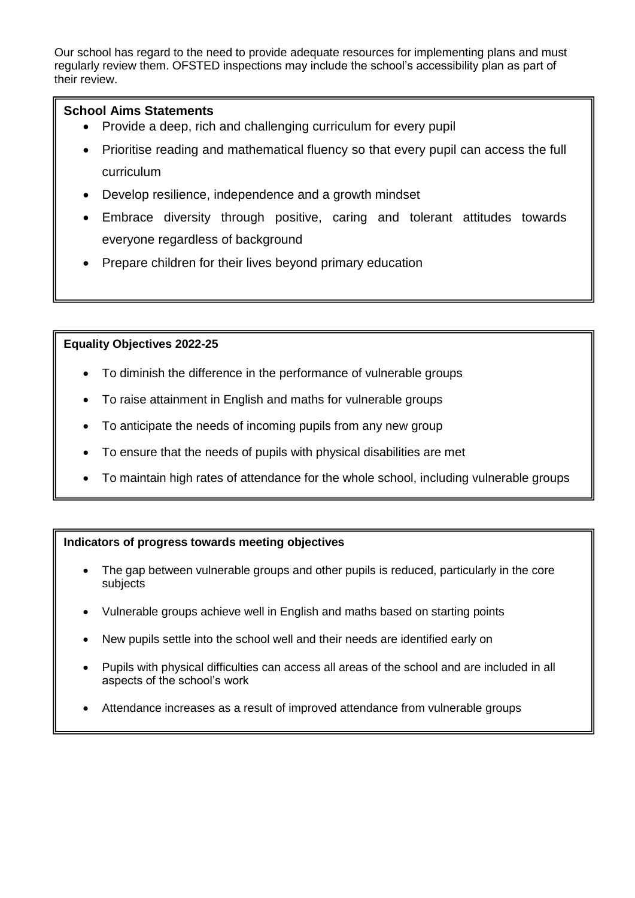Our school has regard to the need to provide adequate resources for implementing plans and must regularly review them. OFSTED inspections may include the school's accessibility plan as part of their review.

## **School Aims Statements**

- Provide a deep, rich and challenging curriculum for every pupil
- Prioritise reading and mathematical fluency so that every pupil can access the full curriculum
- Develop resilience, independence and a growth mindset
- Embrace diversity through positive, caring and tolerant attitudes towards everyone regardless of background
- Prepare children for their lives beyond primary education

#### **Equality Objectives 2022-25**

- To diminish the difference in the performance of vulnerable groups
- To raise attainment in English and maths for vulnerable groups
- To anticipate the needs of incoming pupils from any new group
- To ensure that the needs of pupils with physical disabilities are met
- To maintain high rates of attendance for the whole school, including vulnerable groups

# **Indicators of progress towards meeting objectives**

- The gap between vulnerable groups and other pupils is reduced, particularly in the core subjects
- Vulnerable groups achieve well in English and maths based on starting points
- New pupils settle into the school well and their needs are identified early on
- Pupils with physical difficulties can access all areas of the school and are included in all aspects of the school's work
- Attendance increases as a result of improved attendance from vulnerable groups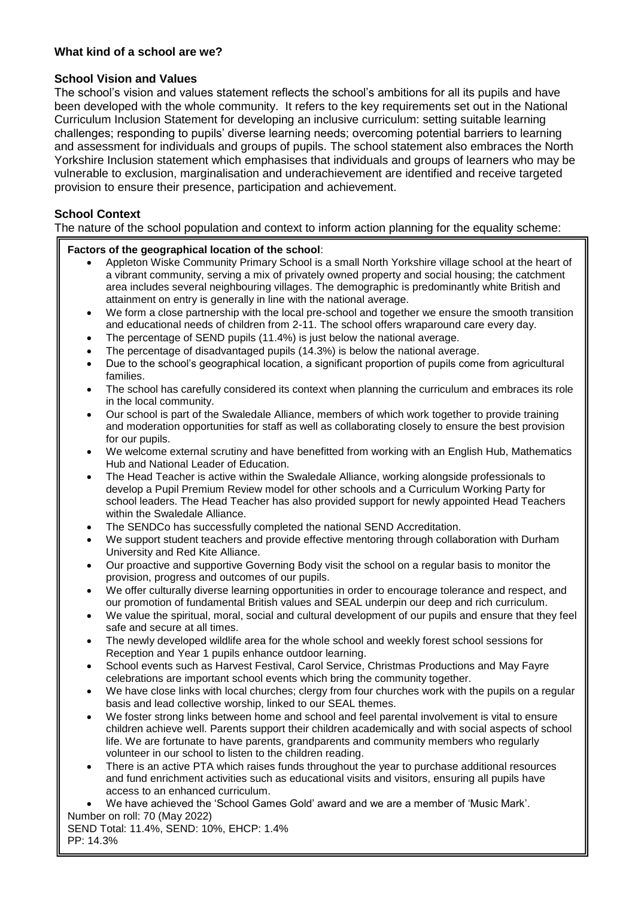#### **What kind of a school are we?**

#### **School Vision and Values**

The school's vision and values statement reflects the school's ambitions for all its pupils and have been developed with the whole community. It refers to the key requirements set out in the National Curriculum Inclusion Statement for developing an inclusive curriculum: setting suitable learning challenges; responding to pupils' diverse learning needs; overcoming potential barriers to learning and assessment for individuals and groups of pupils. The school statement also embraces the North Yorkshire Inclusion statement which emphasises that individuals and groups of learners who may be vulnerable to exclusion, marginalisation and underachievement are identified and receive targeted provision to ensure their presence, participation and achievement.

#### **School Context**

The nature of the school population and context to inform action planning for the equality scheme:

#### **Factors of the geographical location of the school**:

- Appleton Wiske Community Primary School is a small North Yorkshire village school at the heart of a vibrant community, serving a mix of privately owned property and social housing; the catchment area includes several neighbouring villages. The demographic is predominantly white British and attainment on entry is generally in line with the national average.
- We form a close partnership with the local pre-school and together we ensure the smooth transition and educational needs of children from 2-11. The school offers wraparound care every day.
- The percentage of SEND pupils (11.4%) is just below the national average.
- The percentage of disadvantaged pupils (14.3%) is below the national average.
- Due to the school's geographical location, a significant proportion of pupils come from agricultural families.
- The school has carefully considered its context when planning the curriculum and embraces its role in the local community.
- Our school is part of the Swaledale Alliance, members of which work together to provide training and moderation opportunities for staff as well as collaborating closely to ensure the best provision for our pupils.
- We welcome external scrutiny and have benefitted from working with an English Hub, Mathematics Hub and National Leader of Education.
- The Head Teacher is active within the Swaledale Alliance, working alongside professionals to develop a Pupil Premium Review model for other schools and a Curriculum Working Party for school leaders. The Head Teacher has also provided support for newly appointed Head Teachers within the Swaledale Alliance.
- The SENDCo has successfully completed the national SEND Accreditation.
- We support student teachers and provide effective mentoring through collaboration with Durham University and Red Kite Alliance.
- Our proactive and supportive Governing Body visit the school on a regular basis to monitor the provision, progress and outcomes of our pupils.
- We offer culturally diverse learning opportunities in order to encourage tolerance and respect, and our promotion of fundamental British values and SEAL underpin our deep and rich curriculum.
- We value the spiritual, moral, social and cultural development of our pupils and ensure that they feel safe and secure at all times.
- The newly developed wildlife area for the whole school and weekly forest school sessions for Reception and Year 1 pupils enhance outdoor learning.
- School events such as Harvest Festival, Carol Service, Christmas Productions and May Fayre celebrations are important school events which bring the community together.
- We have close links with local churches; clergy from four churches work with the pupils on a regular basis and lead collective worship, linked to our SEAL themes.
- We foster strong links between home and school and feel parental involvement is vital to ensure children achieve well. Parents support their children academically and with social aspects of school life. We are fortunate to have parents, grandparents and community members who regularly volunteer in our school to listen to the children reading.
- There is an active PTA which raises funds throughout the year to purchase additional resources and fund enrichment activities such as educational visits and visitors, ensuring all pupils have access to an enhanced curriculum.
- We have achieved the 'School Games Gold' award and we are a member of 'Music Mark'.
- Number on roll: 70 (May 2022) SEND Total: 11.4%, SEND: 10%, EHCP: 1.4% PP: 14.3%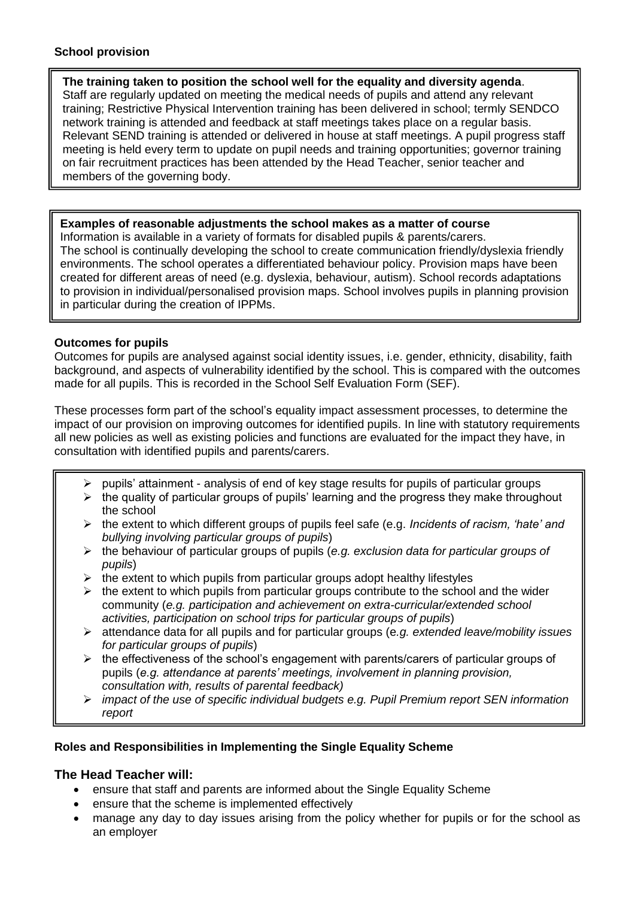#### **School provision**

#### **The training taken to position the school well for the equality and diversity agenda**. Staff are regularly updated on meeting the medical needs of pupils and attend any relevant training; Restrictive Physical Intervention training has been delivered in school; termly SENDCO network training is attended and feedback at staff meetings takes place on a regular basis. Relevant SEND training is attended or delivered in house at staff meetings. A pupil progress staff meeting is held every term to update on pupil needs and training opportunities; governor training on fair recruitment practices has been attended by the Head Teacher, senior teacher and members of the governing body.

# **Examples of reasonable adjustments the school makes as a matter of course**

Information is available in a variety of formats for disabled pupils & parents/carers. The school is continually developing the school to create communication friendly/dyslexia friendly environments. The school operates a differentiated behaviour policy. Provision maps have been created for different areas of need (e.g. dyslexia, behaviour, autism). School records adaptations to provision in individual/personalised provision maps. School involves pupils in planning provision in particular during the creation of IPPMs.

#### **Outcomes for pupils**

Outcomes for pupils are analysed against social identity issues, i.e. gender, ethnicity, disability, faith background, and aspects of vulnerability identified by the school. This is compared with the outcomes made for all pupils. This is recorded in the School Self Evaluation Form (SEF).

These processes form part of the school's equality impact assessment processes, to determine the impact of our provision on improving outcomes for identified pupils. In line with statutory requirements all new policies as well as existing policies and functions are evaluated for the impact they have, in consultation with identified pupils and parents/carers.

- $\triangleright$  pupils' attainment analysis of end of key stage results for pupils of particular groups
- $\triangleright$  the quality of particular groups of pupils' learning and the progress they make throughout the school
- the extent to which different groups of pupils feel safe (e.g. *Incidents of racism, 'hate' and bullying involving particular groups of pupils*)
- the behaviour of particular groups of pupils (*e.g. exclusion data for particular groups of pupils*)
- $\triangleright$  the extent to which pupils from particular groups adopt healthy lifestyles
- $\triangleright$  the extent to which pupils from particular groups contribute to the school and the wider community (*e.g. participation and achievement on extra-curricular/extended school activities, participation on school trips for particular groups of pupils*)
- attendance data for all pupils and for particular groups (e*.g. extended leave/mobility issues for particular groups of pupils*)
- $\triangleright$  the effectiveness of the school's engagement with parents/carers of particular groups of pupils (*e.g. attendance at parents' meetings, involvement in planning provision, consultation with, results of parental feedback)*
- *impact of the use of specific individual budgets e.g. Pupil Premium report SEN information report*

# **Roles and Responsibilities in Implementing the Single Equality Scheme**

# **The Head Teacher will:**

- ensure that staff and parents are informed about the Single Equality Scheme
- ensure that the scheme is implemented effectively
- manage any day to day issues arising from the policy whether for pupils or for the school as an employer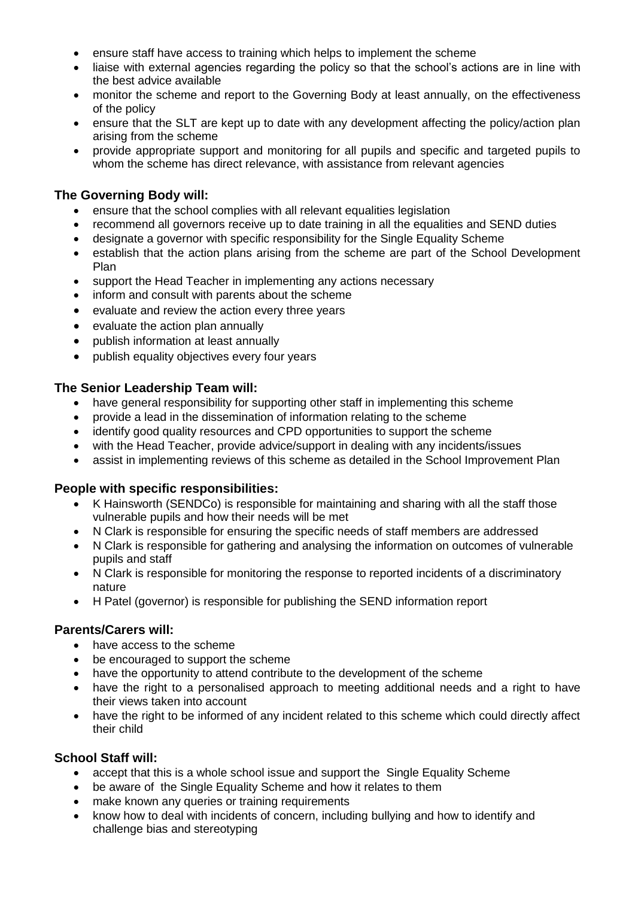- ensure staff have access to training which helps to implement the scheme
- liaise with external agencies regarding the policy so that the school's actions are in line with the best advice available
- monitor the scheme and report to the Governing Body at least annually, on the effectiveness of the policy
- ensure that the SLT are kept up to date with any development affecting the policy/action plan arising from the scheme
- provide appropriate support and monitoring for all pupils and specific and targeted pupils to whom the scheme has direct relevance, with assistance from relevant agencies

# **The Governing Body will:**

- ensure that the school complies with all relevant equalities legislation
- recommend all governors receive up to date training in all the equalities and SEND duties
- designate a governor with specific responsibility for the Single Equality Scheme
- establish that the action plans arising from the scheme are part of the School Development Plan
- support the Head Teacher in implementing any actions necessary
- inform and consult with parents about the scheme
- evaluate and review the action every three years
- evaluate the action plan annually
- publish information at least annually
- publish equality objectives every four years

# **The Senior Leadership Team will:**

- have general responsibility for supporting other staff in implementing this scheme
- provide a lead in the dissemination of information relating to the scheme
- identify good quality resources and CPD opportunities to support the scheme
- with the Head Teacher, provide advice/support in dealing with any incidents/issues
- assist in implementing reviews of this scheme as detailed in the School Improvement Plan

# **People with specific responsibilities:**

- K Hainsworth (SENDCo) is responsible for maintaining and sharing with all the staff those vulnerable pupils and how their needs will be met
- N Clark is responsible for ensuring the specific needs of staff members are addressed
- N Clark is responsible for gathering and analysing the information on outcomes of vulnerable pupils and staff
- N Clark is responsible for monitoring the response to reported incidents of a discriminatory nature
- H Patel (governor) is responsible for publishing the SEND information report

# **Parents/Carers will:**

- have access to the scheme
- be encouraged to support the scheme
- have the opportunity to attend contribute to the development of the scheme
- have the right to a personalised approach to meeting additional needs and a right to have their views taken into account
- have the right to be informed of any incident related to this scheme which could directly affect their child

# **School Staff will:**

- accept that this is a whole school issue and support the Single Equality Scheme
- be aware of the Single Equality Scheme and how it relates to them
- make known any queries or training requirements
- know how to deal with incidents of concern, including bullying and how to identify and challenge bias and stereotyping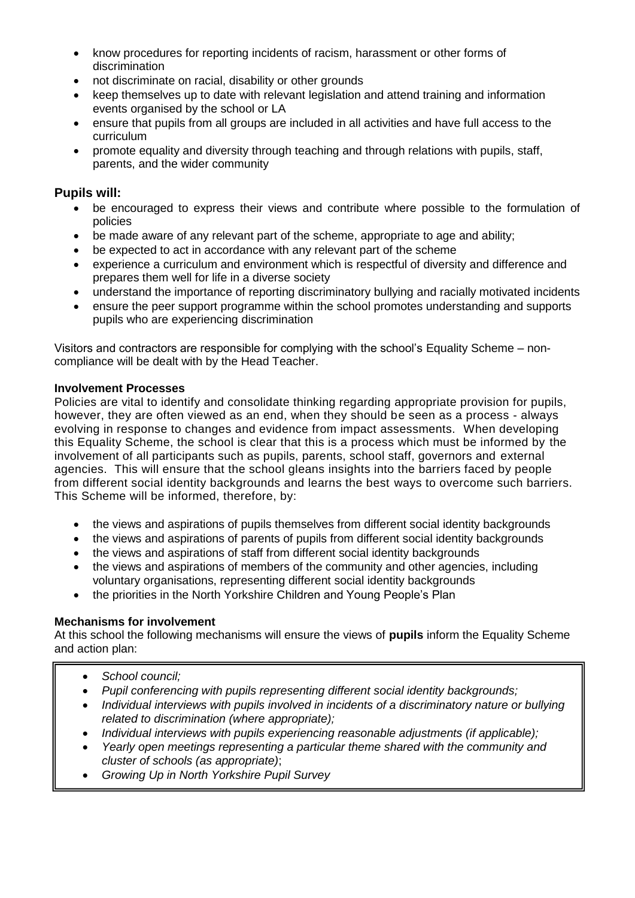- know procedures for reporting incidents of racism, harassment or other forms of discrimination
- not discriminate on racial, disability or other grounds
- keep themselves up to date with relevant legislation and attend training and information events organised by the school or LA
- ensure that pupils from all groups are included in all activities and have full access to the curriculum
- promote equality and diversity through teaching and through relations with pupils, staff, parents, and the wider community

# **Pupils will:**

- be encouraged to express their views and contribute where possible to the formulation of policies
- be made aware of any relevant part of the scheme, appropriate to age and ability;
- be expected to act in accordance with any relevant part of the scheme
- experience a curriculum and environment which is respectful of diversity and difference and prepares them well for life in a diverse society
- understand the importance of reporting discriminatory bullying and racially motivated incidents
- ensure the peer support programme within the school promotes understanding and supports pupils who are experiencing discrimination

Visitors and contractors are responsible for complying with the school's Equality Scheme – noncompliance will be dealt with by the Head Teacher.

# **Involvement Processes**

Policies are vital to identify and consolidate thinking regarding appropriate provision for pupils, however, they are often viewed as an end, when they should be seen as a process - always evolving in response to changes and evidence from impact assessments. When developing this Equality Scheme, the school is clear that this is a process which must be informed by the involvement of all participants such as pupils, parents, school staff, governors and external agencies. This will ensure that the school gleans insights into the barriers faced by people from different social identity backgrounds and learns the best ways to overcome such barriers. This Scheme will be informed, therefore, by:

- the views and aspirations of pupils themselves from different social identity backgrounds
- the views and aspirations of parents of pupils from different social identity backgrounds
- the views and aspirations of staff from different social identity backgrounds
- the views and aspirations of members of the community and other agencies, including voluntary organisations, representing different social identity backgrounds
- the priorities in the North Yorkshire Children and Young People's Plan

# **Mechanisms for involvement**

At this school the following mechanisms will ensure the views of **pupils** inform the Equality Scheme and action plan:

- *School council;*
- *Pupil conferencing with pupils representing different social identity backgrounds;*
- *Individual interviews with pupils involved in incidents of a discriminatory nature or bullying related to discrimination (where appropriate);*
- *Individual interviews with pupils experiencing reasonable adjustments (if applicable);*
- *Yearly open meetings representing a particular theme shared with the community and cluster of schools (as appropriate)*;
- *Growing Up in North Yorkshire Pupil Survey*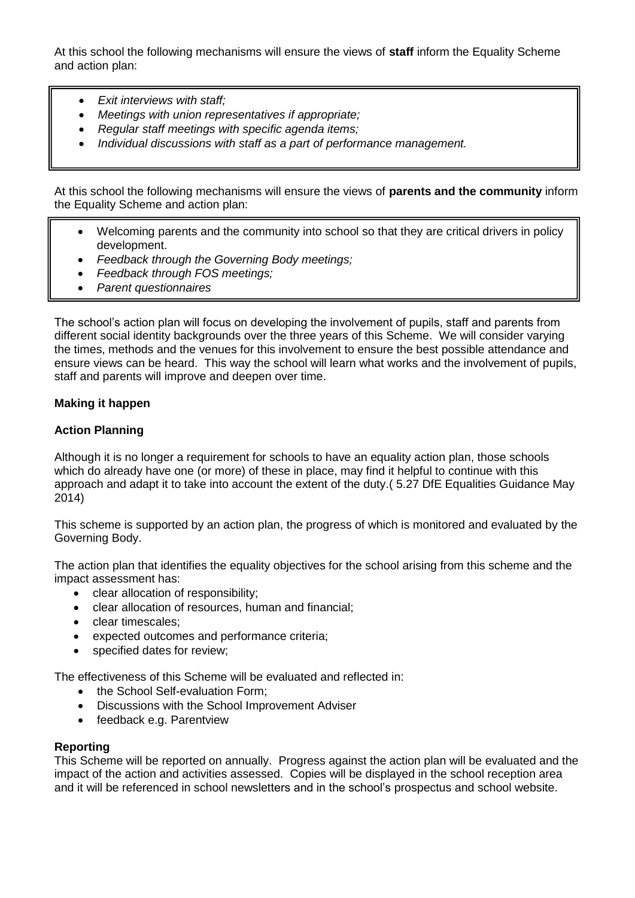At this school the following mechanisms will ensure the views of **staff** inform the Equality Scheme and action plan:

- *Exit interviews with staff;*
- *Meetings with union representatives if appropriate;*
- *Regular staff meetings with specific agenda items;*
- *Individual discussions with staff as a part of performance management.*

At this school the following mechanisms will ensure the views of **parents and the community** inform the Equality Scheme and action plan:

- Welcoming parents and the community into school so that they are critical drivers in policy development.
- *Feedback through the Governing Body meetings;*
- *Feedback through FOS meetings;*
- *Parent questionnaires*

The school's action plan will focus on developing the involvement of pupils, staff and parents from different social identity backgrounds over the three years of this Scheme. We will consider varying the times, methods and the venues for this involvement to ensure the best possible attendance and ensure views can be heard. This way the school will learn what works and the involvement of pupils, staff and parents will improve and deepen over time.

#### **Making it happen**

#### **Action Planning**

Although it is no longer a requirement for schools to have an equality action plan, those schools which do already have one (or more) of these in place, may find it helpful to continue with this approach and adapt it to take into account the extent of the duty.( 5.27 DfE Equalities Guidance May 2014)

This scheme is supported by an action plan, the progress of which is monitored and evaluated by the Governing Body.

The action plan that identifies the equality objectives for the school arising from this scheme and the impact assessment has:

- clear allocation of responsibility;
- clear allocation of resources, human and financial;
- clear timescales;
- expected outcomes and performance criteria;
- specified dates for review;

The effectiveness of this Scheme will be evaluated and reflected in:

- the School Self-evaluation Form;
- Discussions with the School Improvement Adviser
- feedback e.g. Parentview

#### **Reporting**

This Scheme will be reported on annually. Progress against the action plan will be evaluated and the impact of the action and activities assessed. Copies will be displayed in the school reception area and it will be referenced in school newsletters and in the school's prospectus and school website.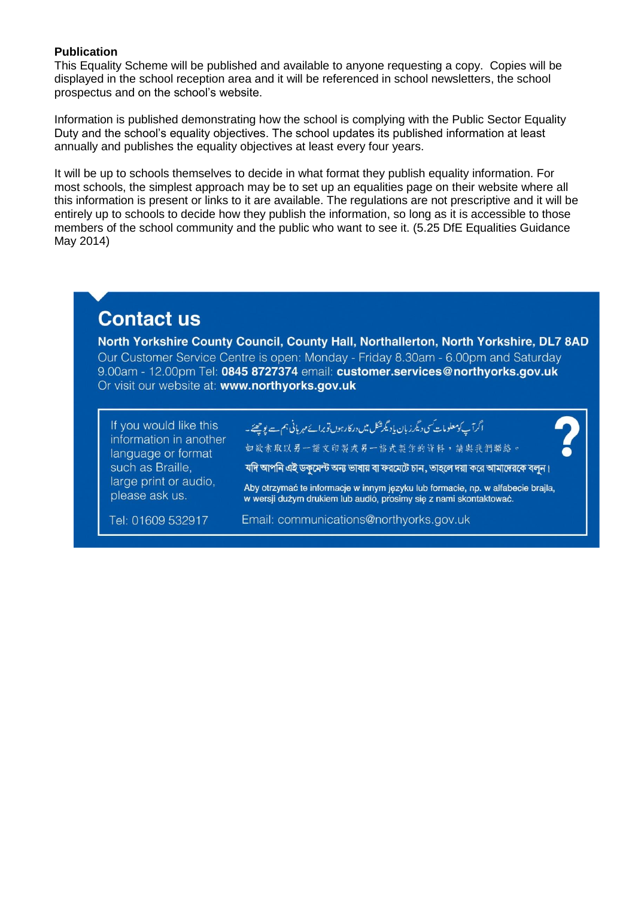#### **Publication**

This Equality Scheme will be published and available to anyone requesting a copy. Copies will be displayed in the school reception area and it will be referenced in school newsletters, the school prospectus and on the school's website.

Information is published demonstrating how the school is complying with the Public Sector Equality Duty and the school's equality objectives. The school updates its published information at least annually and publishes the equality objectives at least every four years.

It will be up to schools themselves to decide in what format they publish equality information. For most schools, the simplest approach may be to set up an equalities page on their website where all this information is present or links to it are available. The regulations are not prescriptive and it will be entirely up to schools to decide how they publish the information, so long as it is accessible to those members of the school community and the public who want to see it. (5.25 DfE Equalities Guidance May 2014)

# **Contact us**

North Yorkshire County Council, County Hall, Northallerton, North Yorkshire, DL7 8AD Our Customer Service Centre is open: Monday - Friday 8.30am - 6.00pm and Saturday 9.00am - 12.00pm Tel: 0845 8727374 email: customer.services@northyorks.gov.uk Or visit our website at: www.northyorks.gov.uk

| If you would like this<br>information in another<br>language or format<br>such as Braille,<br>large print or audio,<br>please ask us. | ا أگرآپ کومعلومات سی دیگر زبان پادیگرشکل میں درکارہوں نوبرائے مہربانی ہم ہے پوچھئے۔<br>如敏索取以另一語文印製或另一格式製作的資料,請與我們聯絡。<br>যদি আপনি এই ডকুমেন্ট অন্য ভাষায় বা ফরমেটে চান, তাহলে দয়া করে আমাদেরকে বলুন।<br>Aby otrzymać te informacje w innym języku lub formacie, np. w alfabecie brajla,<br>w wersji dużym drukiem lub audió, prosimy się z nami skontaktować. |
|---------------------------------------------------------------------------------------------------------------------------------------|----------------------------------------------------------------------------------------------------------------------------------------------------------------------------------------------------------------------------------------------------------------------------------------------------------------------------------------------------------------|
| Tel: 01609 532917                                                                                                                     | Email: communications@northyorks.gov.uk                                                                                                                                                                                                                                                                                                                        |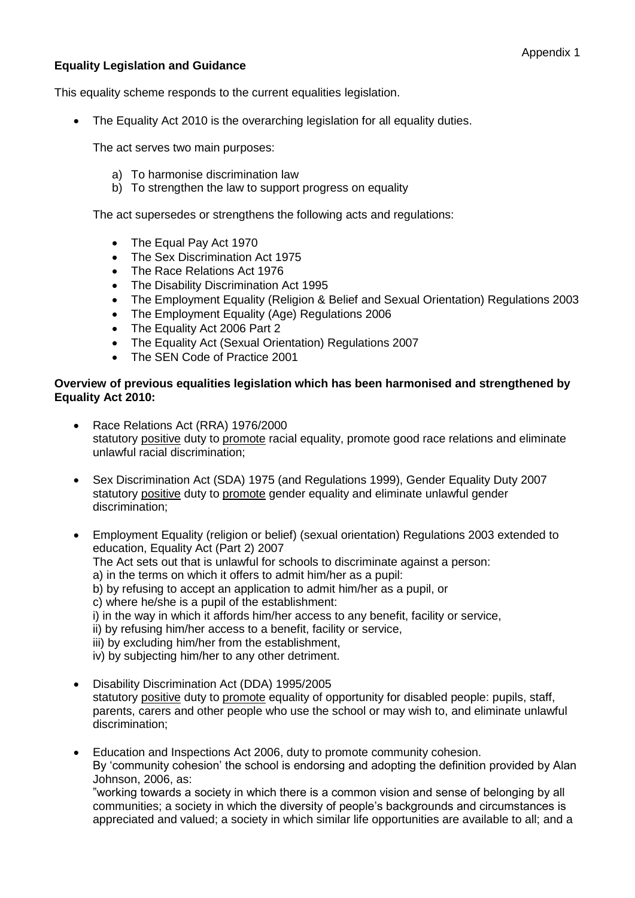#### **Equality Legislation and Guidance**

This equality scheme responds to the current equalities legislation.

The Equality Act 2010 is the overarching legislation for all equality duties.

The act serves two main purposes:

- a) To harmonise discrimination law
- b) To strengthen the law to support progress on equality

The act supersedes or strengthens the following acts and regulations:

- The Equal Pay Act 1970
- The Sex Discrimination Act 1975
- The Race Relations Act 1976
- The Disability Discrimination Act 1995
- The Employment Equality (Religion & Belief and Sexual Orientation) Regulations 2003
- The Employment Equality (Age) Regulations 2006
- The Equality Act 2006 Part 2
- The Equality Act (Sexual Orientation) Regulations 2007
- The SEN Code of Practice 2001

#### **Overview of previous equalities legislation which has been harmonised and strengthened by Equality Act 2010:**

- Race Relations Act (RRA) 1976/2000 statutory positive duty to promote racial equality, promote good race relations and eliminate unlawful racial discrimination;
- Sex Discrimination Act (SDA) 1975 (and Regulations 1999), Gender Equality Duty 2007 statutory positive duty to promote gender equality and eliminate unlawful gender discrimination;
- Employment Equality (religion or belief) (sexual orientation) Regulations 2003 extended to education, Equality Act (Part 2) 2007
	- The Act sets out that is unlawful for schools to discriminate against a person:
	- a) in the terms on which it offers to admit him/her as a pupil:
	- b) by refusing to accept an application to admit him/her as a pupil, or
	- c) where he/she is a pupil of the establishment:
	- i) in the way in which it affords him/her access to any benefit, facility or service,
	- ii) by refusing him/her access to a benefit, facility or service,
	- iii) by excluding him/her from the establishment,
	- iv) by subjecting him/her to any other detriment.
- Disability Discrimination Act (DDA) 1995/2005 statutory positive duty to promote equality of opportunity for disabled people: pupils, staff, parents, carers and other people who use the school or may wish to, and eliminate unlawful discrimination;
- Education and Inspections Act 2006, duty to promote community cohesion. By 'community cohesion' the school is endorsing and adopting the definition provided by Alan Johnson, 2006, as: "working towards a society in which there is a common vision and sense of belonging by all communities; a society in which the diversity of people's backgrounds and circumstances is

appreciated and valued; a society in which similar life opportunities are available to all; and a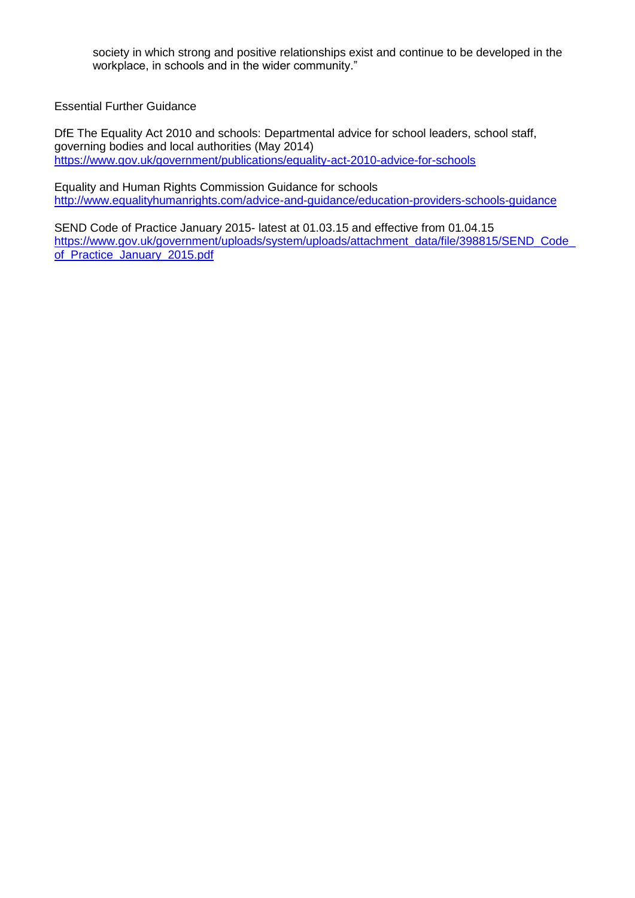society in which strong and positive relationships exist and continue to be developed in the workplace, in schools and in the wider community."

Essential Further Guidance

DfE The Equality Act 2010 and schools: Departmental advice for school leaders, school staff, governing bodies and local authorities (May 2014) <https://www.gov.uk/government/publications/equality-act-2010-advice-for-schools>

Equality and Human Rights Commission Guidance for schools <http://www.equalityhumanrights.com/advice-and-guidance/education-providers-schools-guidance>

SEND Code of Practice January 2015- latest at 01.03.15 and effective from 01.04.15 https://www.gov.uk/government/uploads/system/uploads/attachment\_data/file/398815/SEND\_Code [of\\_Practice\\_January\\_2015.pdf](https://www.gov.uk/government/uploads/system/uploads/attachment_data/file/398815/SEND_Code_of_Practice_January_2015.pdf)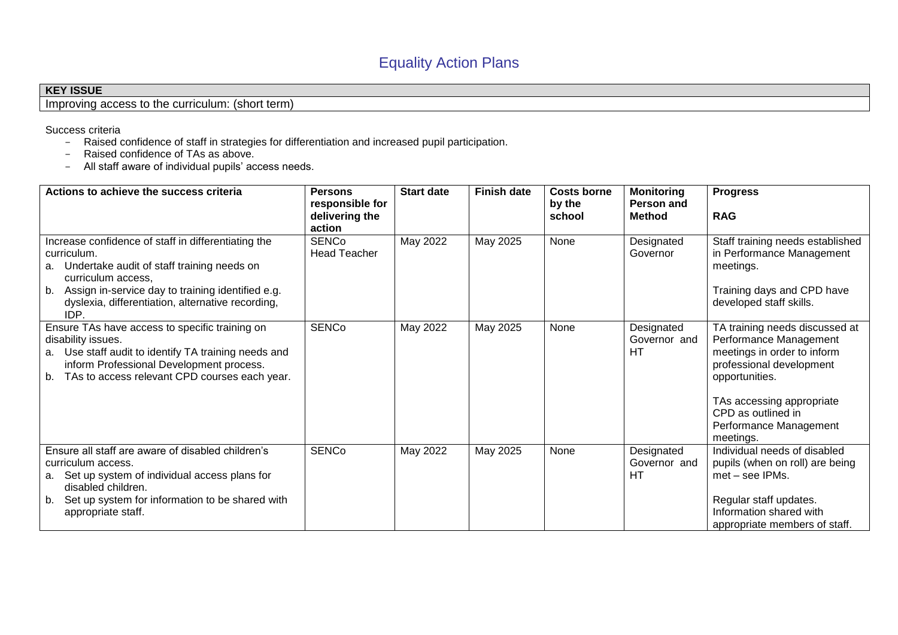# **KEY ISSUE**

Improving access to the curriculum: (short term)

Success criteria

- Raised confidence of staff in strategies for differentiation and increased pupil participation.
- Raised confidence of TAs as above.
- All staff aware of individual pupils' access needs.

| Actions to achieve the success criteria                                                                                                                                                                                                                        | <b>Persons</b><br>responsible for<br>delivering the | <b>Start date</b> | <b>Finish date</b> | <b>Costs borne</b><br>by the<br>school | <b>Monitoring</b><br>Person and<br><b>Method</b> | <b>Progress</b><br><b>RAG</b>                                                                                                                                                                                                   |
|----------------------------------------------------------------------------------------------------------------------------------------------------------------------------------------------------------------------------------------------------------------|-----------------------------------------------------|-------------------|--------------------|----------------------------------------|--------------------------------------------------|---------------------------------------------------------------------------------------------------------------------------------------------------------------------------------------------------------------------------------|
|                                                                                                                                                                                                                                                                | action                                              |                   |                    |                                        |                                                  |                                                                                                                                                                                                                                 |
| Increase confidence of staff in differentiating the<br>curriculum.<br>a. Undertake audit of staff training needs on<br>curriculum access.<br>b. Assign in-service day to training identified e.g.<br>dyslexia, differentiation, alternative recording,<br>IDP. | <b>SENCo</b><br><b>Head Teacher</b>                 | May 2022          | May 2025           | None                                   | Designated<br>Governor                           | Staff training needs established<br>in Performance Management<br>meetings.<br>Training days and CPD have<br>developed staff skills.                                                                                             |
| Ensure TAs have access to specific training on<br>disability issues.<br>a. Use staff audit to identify TA training needs and<br>inform Professional Development process.<br>b. TAs to access relevant CPD courses each year.                                   | <b>SENCo</b>                                        | May 2022          | May 2025           | None                                   | Designated<br>Governor and<br>HТ                 | TA training needs discussed at<br>Performance Management<br>meetings in order to inform<br>professional development<br>opportunities.<br>TAs accessing appropriate<br>CPD as outlined in<br>Performance Management<br>meetings. |
| Ensure all staff are aware of disabled children's<br>curriculum access.<br>Set up system of individual access plans for<br>а.<br>disabled children.<br>Set up system for information to be shared with<br>b.<br>appropriate staff.                             | <b>SENCo</b>                                        | May 2022          | May 2025           | None                                   | Designated<br>Governor and<br>HT                 | Individual needs of disabled<br>pupils (when on roll) are being<br>met – see IPMs.<br>Regular staff updates.<br>Information shared with<br>appropriate members of staff.                                                        |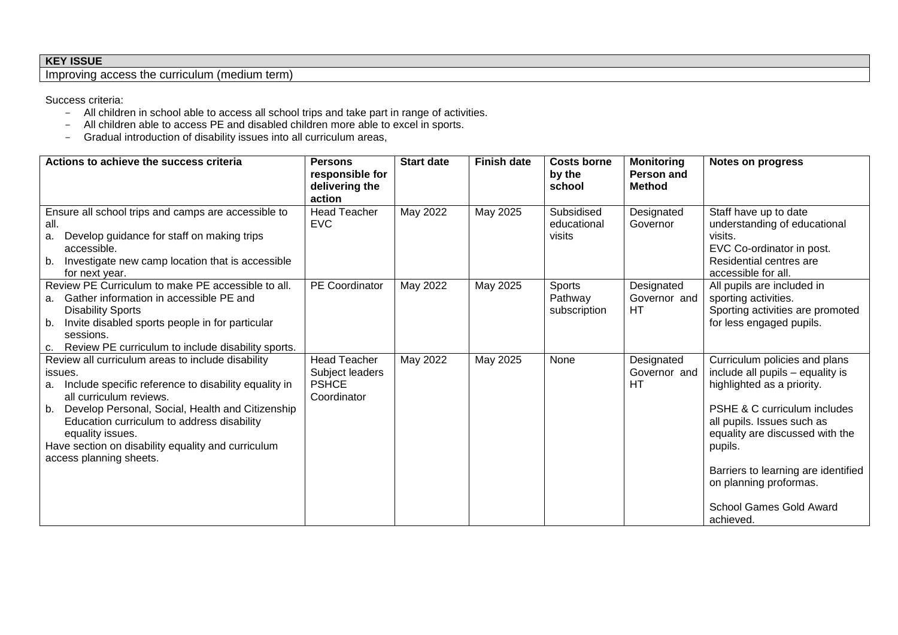# **KEY ISSUE**

Improving access the curriculum (medium term)

Success criteria:

- All children in school able to access all school trips and take part in range of activities.
- All children able to access PE and disabled children more able to excel in sports.
- Gradual introduction of disability issues into all curriculum areas,

| Actions to achieve the success criteria                                                                                                                                                                                                                                                                                                                            | <b>Persons</b><br>responsible for<br>delivering the<br>action         | <b>Start date</b> | <b>Finish date</b> | <b>Costs borne</b><br>by the<br>school | <b>Monitoring</b><br>Person and<br><b>Method</b> | <b>Notes on progress</b>                                                                                                                                                                                                                                                                                                               |
|--------------------------------------------------------------------------------------------------------------------------------------------------------------------------------------------------------------------------------------------------------------------------------------------------------------------------------------------------------------------|-----------------------------------------------------------------------|-------------------|--------------------|----------------------------------------|--------------------------------------------------|----------------------------------------------------------------------------------------------------------------------------------------------------------------------------------------------------------------------------------------------------------------------------------------------------------------------------------------|
| Ensure all school trips and camps are accessible to<br>all.<br>Develop guidance for staff on making trips<br>a.<br>accessible.<br>Investigate new camp location that is accessible<br>b.<br>for next year.                                                                                                                                                         | <b>Head Teacher</b><br><b>EVC</b>                                     | May 2022          | May 2025           | Subsidised<br>educational<br>visits    | Designated<br>Governor                           | Staff have up to date<br>understanding of educational<br>visits.<br>EVC Co-ordinator in post.<br>Residential centres are<br>accessible for all.                                                                                                                                                                                        |
| Review PE Curriculum to make PE accessible to all.<br>Gather information in accessible PE and<br>а.<br><b>Disability Sports</b><br>Invite disabled sports people in for particular<br>b.<br>sessions.<br>Review PE curriculum to include disability sports.<br>C.                                                                                                  | PE Coordinator                                                        | May 2022          | May 2025           | Sports<br>Pathway<br>subscription      | Designated<br>Governor and<br>HТ                 | All pupils are included in<br>sporting activities.<br>Sporting activities are promoted<br>for less engaged pupils.                                                                                                                                                                                                                     |
| Review all curriculum areas to include disability<br>issues.<br>Include specific reference to disability equality in<br>a.<br>all curriculum reviews.<br>Develop Personal, Social, Health and Citizenship<br>b.<br>Education curriculum to address disability<br>equality issues.<br>Have section on disability equality and curriculum<br>access planning sheets. | <b>Head Teacher</b><br>Subject leaders<br><b>PSHCE</b><br>Coordinator | May 2022          | May 2025           | None                                   | Designated<br>Governor and<br>HТ                 | Curriculum policies and plans<br>include all pupils - equality is<br>highlighted as a priority.<br><b>PSHE &amp; C curriculum includes</b><br>all pupils. Issues such as<br>equality are discussed with the<br>pupils.<br>Barriers to learning are identified<br>on planning proformas.<br><b>School Games Gold Award</b><br>achieved. |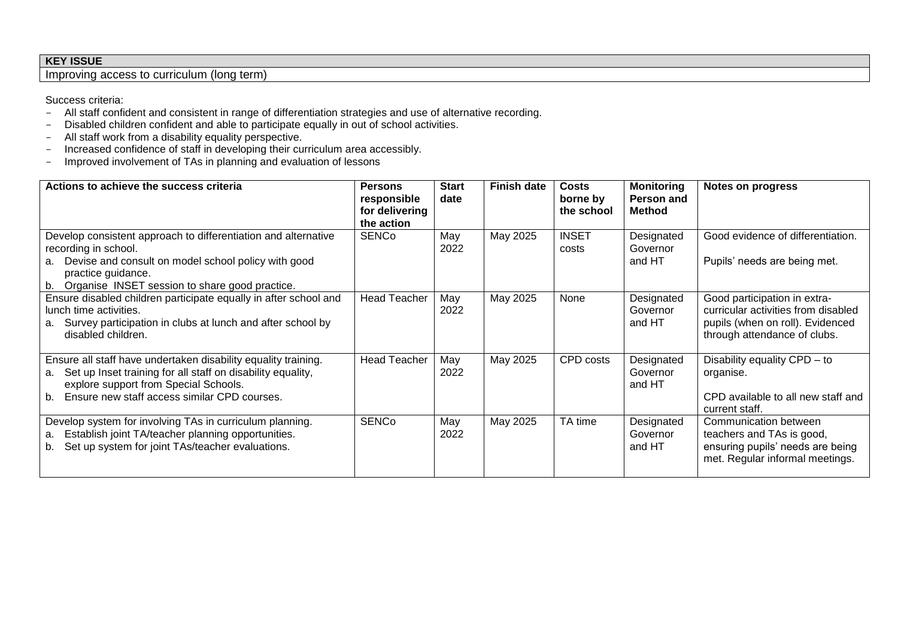# **KEY ISSUE**

Improving access to curriculum (long term)

Success criteria:

- All staff confident and consistent in range of differentiation strategies and use of alternative recording.
- Disabled children confident and able to participate equally in out of school activities.
- All staff work from a disability equality perspective.
- Increased confidence of staff in developing their curriculum area accessibly.
- Improved involvement of TAs in planning and evaluation of lessons

| Actions to achieve the success criteria                                                                                                                                                                                            | <b>Persons</b><br>responsible<br>for delivering<br>the action | <b>Start</b><br>date | <b>Finish date</b> | <b>Costs</b><br>borne by<br>the school | <b>Monitoring</b><br>Person and<br><b>Method</b> | Notes on progress                                                                                                                       |
|------------------------------------------------------------------------------------------------------------------------------------------------------------------------------------------------------------------------------------|---------------------------------------------------------------|----------------------|--------------------|----------------------------------------|--------------------------------------------------|-----------------------------------------------------------------------------------------------------------------------------------------|
| Develop consistent approach to differentiation and alternative<br>recording in school.<br>Devise and consult on model school policy with good<br>a.<br>practice guidance.<br>Organise INSET session to share good practice.<br>b.  | <b>SENCo</b>                                                  | May<br>2022          | May 2025           | <b>INSET</b><br>costs                  | Designated<br>Governor<br>and HT                 | Good evidence of differentiation.<br>Pupils' needs are being met.                                                                       |
| Ensure disabled children participate equally in after school and<br>lunch time activities.<br>Survey participation in clubs at lunch and after school by<br>а.<br>disabled children.                                               | <b>Head Teacher</b>                                           | May<br>2022          | May 2025           | None                                   | Designated<br>Governor<br>and HT                 | Good participation in extra-<br>curricular activities from disabled<br>pupils (when on roll). Evidenced<br>through attendance of clubs. |
| Ensure all staff have undertaken disability equality training.<br>Set up Inset training for all staff on disability equality,<br>а.<br>explore support from Special Schools.<br>Ensure new staff access similar CPD courses.<br>b. | <b>Head Teacher</b>                                           | May<br>2022          | May 2025           | CPD costs                              | Designated<br>Governor<br>and HT                 | Disability equality CPD - to<br>organise.<br>CPD available to all new staff and<br>current staff.                                       |
| Develop system for involving TAs in curriculum planning.<br>Establish joint TA/teacher planning opportunities.<br>a.<br>Set up system for joint TAs/teacher evaluations.<br>b.                                                     | <b>SENCo</b>                                                  | May<br>2022          | May 2025           | TA time                                | Designated<br>Governor<br>and HT                 | Communication between<br>teachers and TAs is good,<br>ensuring pupils' needs are being<br>met. Regular informal meetings.               |